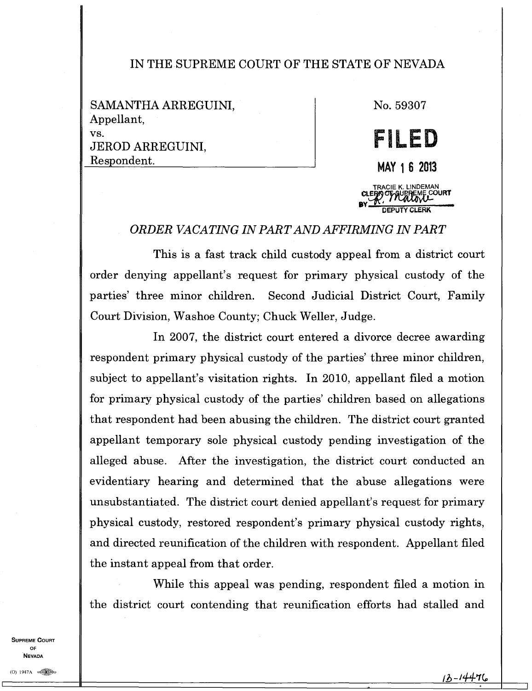## IN THE SUPREME COURT OF THE STATE OF NEVADA

SAMANTHA ARREGUINI, Appellant, vs. JEROD ARREGUINI, Respondent.

No. 59307

**FILED MAY 1 6 2013**  TRACIE K **CLE:Vp rt. Ur .OURT BY**  $\frac{L^2}{R^2}$ **DEPUTY CLERK** 

## *ORDER VACATING IN PART AND AFFIRMING IN PART*

This is a fast track child custody appeal from a district court order denying appellant's request for primary physical custody of the parties' three minor children. Second Judicial District Court, Family Court Division, Washoe County; Chuck Weller, Judge.

In 2007, the district court entered a divorce decree awarding respondent primary physical custody of the parties' three minor children, subject to appellant's visitation rights. In 2010, appellant filed a motion for primary physical custody of the parties' children based on allegations that respondent had been abusing the children. The district court granted appellant temporary sole physical custody pending investigation of the alleged abuse. After the investigation, the district court conducted an evidentiary hearing and determined that the abuse allegations were unsubstantiated. The district court denied appellant's request for primary physical custody, restored respondent's primary physical custody rights, and directed reunification of the children with respondent. Appellant filed the instant appeal from that order.

While this appeal was pending, respondent filed a motion in the district court contending that reunification efforts had stalled and

**SUPREME COURT OF**  NEVADA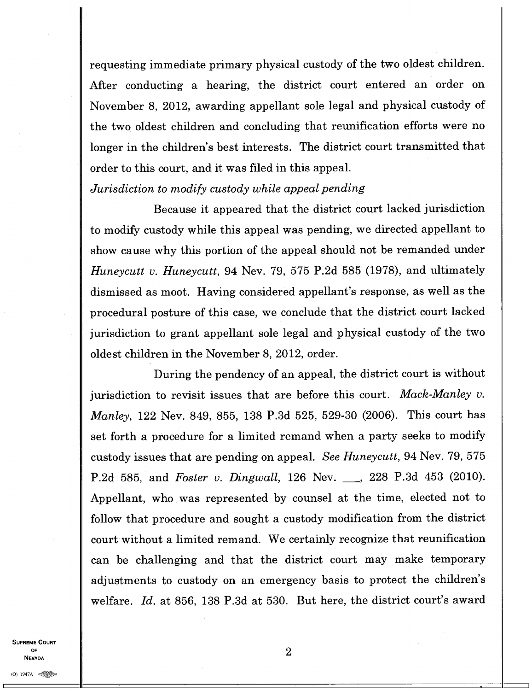requesting immediate primary physical custody of the two oldest children. After conducting a hearing, the district court entered an order on November 8, 2012, awarding appellant sole legal and physical custody of the two oldest children and concluding that reunification efforts were no longer in the children's best interests. The district court transmitted that order to this court, and it was filed in this appeal.

*Jurisdiction to modify custody while appeal pending* 

Because it appeared that the district court lacked jurisdiction to modify custody while this appeal was pending, we directed appellant to show cause why this portion of the appeal should not be remanded under *Huneycutt v. Huneycutt,* 94 Nev. 79, 575 P.2d 585 (1978), and ultimately dismissed as moot. Having considered appellant's response, as well as the procedural posture of this case, we conclude that the district court lacked jurisdiction to grant appellant sole legal and physical custody of the two oldest children in the November 8, 2012, order.

During the pendency of an appeal, the district court is without jurisdiction to revisit issues that are before this court. *Mack-Manley v. Manley,* 122 Nev. 849, 855, 138 P.3d 525, 529-30 (2006). This court has set forth a procedure for a limited remand when a party seeks to modify custody issues that are pending on appeal. *See Huneycutt,* 94 Nev. 79, 575 P.2d 585, and *Foster v. Dingwall*, 126 Nev. 428 P.3d 453 (2010). Appellant, who was represented by counsel at the time, elected not to follow that procedure and sought a custody modification from the district court without a limited remand. We certainly recognize that reunification can be challenging and that the district court may make temporary adjustments to custody on an emergency basis to protect the children's welfare. *Id.* at 856, 138 P.3d at 530. But here, the district court's award

**SUPREME COURT OF NEVADA**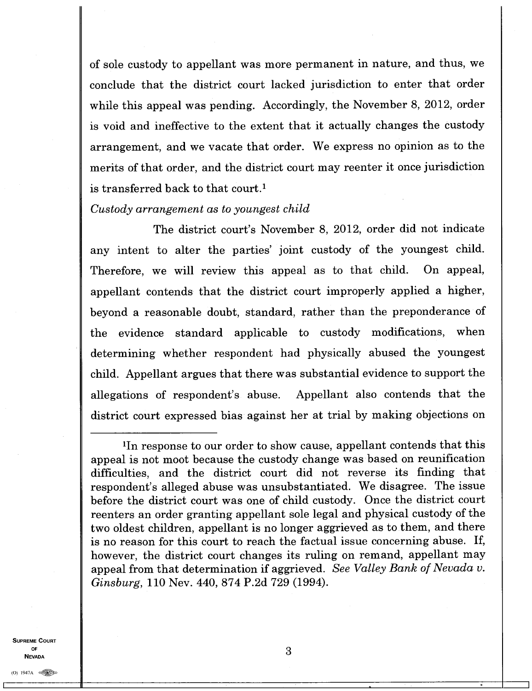of sole custody to appellant was more permanent in nature, and thus, we conclude that the district court lacked jurisdiction to enter that order while this appeal was pending. Accordingly, the November 8, 2012, order is void and ineffective to the extent that it actually changes the custody arrangement, and we vacate that order. We express no opinion as to the merits of that order, and the district court may reenter it once jurisdiction is transferred back to that court.<sup>1</sup>

## *Custody arrangement as to youngest child*

The district court's November 8, 2012, order did not indicate any intent to alter the parties' joint custody of the youngest child. Therefore, we will review this appeal as to that child. On appeal, appellant contends that the district court improperly applied a higher, beyond a reasonable doubt, standard, rather than the preponderance of the evidence standard applicable to custody modifications, when determining whether respondent had physically abused the youngest child. Appellant argues that there was substantial evidence to support the allegations of respondent's abuse. Appellant also contends that the district court expressed bias against her at trial by making objections on

**SUPREME COURT OF NEVADA** 

3

<sup>&#</sup>x27;In response to our order to show cause, appellant contends that this appeal is not moot because the custody change was based on reunification difficulties, and the district court did not reverse its finding that respondent's alleged abuse was unsubstantiated. We disagree. The issue before the district court was one of child custody. Once the district court reenters an order granting appellant sole legal and physical custody of the two oldest children, appellant is no longer aggrieved as to them, and there is no reason for this court to reach the factual issue concerning abuse. If, however, the district court changes its ruling on remand, appellant may appeal from that determination if aggrieved. *See Valley Bank of Nevada v. Ginsburg,* 110 Nev. 440, 874 P.2d 729 (1994).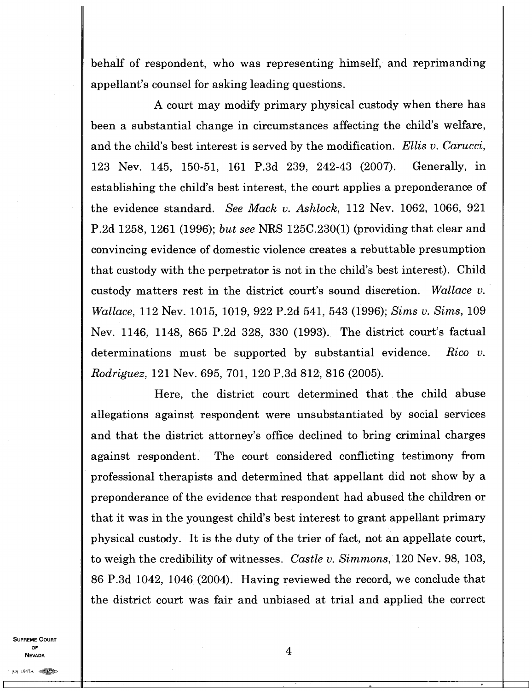behalf of respondent, who was representing himself, and reprimanding appellant's counsel for asking leading questions.

A court may modify primary physical custody when there has been a substantial change in circumstances affecting the child's welfare, and the child's best interest is served by the modification. *Ellis v. Carucci,*  123 Nev. 145, 150-51, 161 P.3d 239, 242-43 (2007). Generally, in establishing the child's best interest, the court applies a preponderance of the evidence standard. *See Mack v. Ashlock,* 112 Nev. 1062, 1066, 921 P.2d 1258, 1261 (1996); *but see* NRS 125C.230(1) (providing that clear and convincing evidence of domestic violence creates a rebuttable presumption that custody with the perpetrator is not in the child's best interest). Child custody matters rest in the district court's sound discretion. *Wallace v. Wallace,* 112 Nev. 1015, 1019, 922 P.2d 541, 543 (1996); *Sims* v. *Sims,* 109 Nev. 1146, 1148, 865 P.2d 328, 330 (1993). The district court's factual determinations must be supported by substantial evidence. *Rico v. Rodriguez,* 121 Nev. 695, 701, 120 P.3d 812, 816 (2005).

Here, the district court determined that the child abuse allegations against respondent were unsubstantiated by social services and that the district attorney's office declined to bring criminal charges against respondent. The court considered conflicting testimony from professional therapists and determined that appellant did not show by a preponderance of the evidence that respondent had abused the children or that it was in the youngest child's best interest to grant appellant primary physical custody. It is the duty of the trier of fact, not an appellate court, to weigh the credibility of witnesses. *Castle v. Simmons,* 120 Nev. 98, 103, 86 P.3d 1042, 1046 (2004). Having reviewed the record, we conclude that the district court was fair and unbiased at trial and applied the correct

**SUPREME COURT OF NEVADA**